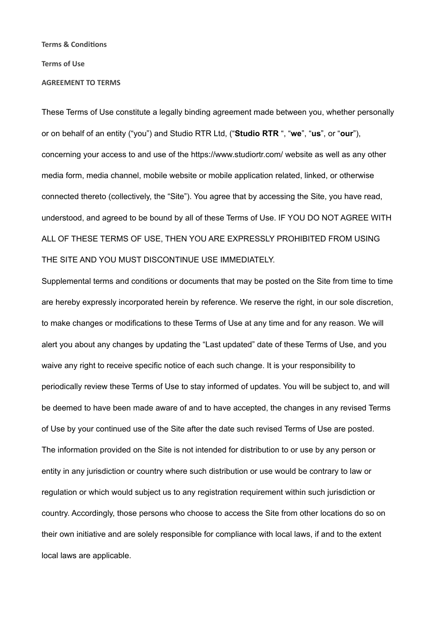#### **Terms & Conditions**

#### **Terms of Use**

#### **AGREEMENT TO TERMS**

These Terms of Use constitute a legally binding agreement made between you, whether personally or on behalf of an entity ("you") and Studio RTR Ltd, ("**Studio RTR** ", "**we**", "**us**", or "**our**"), concerning your access to and use of the [https://www.studiortr.com/](https://www.nibblevideo.com/) website as well as any other media form, media channel, mobile website or mobile application related, linked, or otherwise connected thereto (collectively, the "Site"). You agree that by accessing the Site, you have read, understood, and agreed to be bound by all of these Terms of Use. IF YOU DO NOT AGREE WITH ALL OF THESE TERMS OF USE, THEN YOU ARE EXPRESSLY PROHIBITED FROM USING THE SITE AND YOU MUST DISCONTINUE USE IMMEDIATELY.

Supplemental terms and conditions or documents that may be posted on the Site from time to time are hereby expressly incorporated herein by reference. We reserve the right, in our sole discretion, to make changes or modifications to these Terms of Use at any time and for any reason. We will alert you about any changes by updating the "Last updated" date of these Terms of Use, and you waive any right to receive specific notice of each such change. It is your responsibility to periodically review these Terms of Use to stay informed of updates. You will be subject to, and will be deemed to have been made aware of and to have accepted, the changes in any revised Terms of Use by your continued use of the Site after the date such revised Terms of Use are posted. The information provided on the Site is not intended for distribution to or use by any person or entity in any jurisdiction or country where such distribution or use would be contrary to law or regulation or which would subject us to any registration requirement within such jurisdiction or country. Accordingly, those persons who choose to access the Site from other locations do so on their own initiative and are solely responsible for compliance with local laws, if and to the extent local laws are applicable.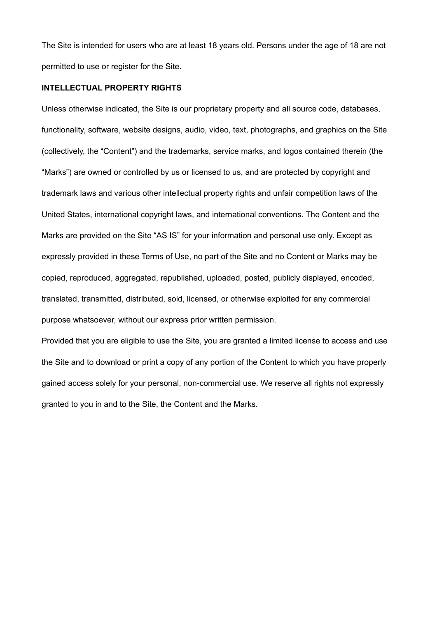The Site is intended for users who are at least 18 years old. Persons under the age of 18 are not permitted to use or register for the Site.

## **INTELLECTUAL PROPERTY RIGHTS**

Unless otherwise indicated, the Site is our proprietary property and all source code, databases, functionality, software, website designs, audio, video, text, photographs, and graphics on the Site (collectively, the "Content") and the trademarks, service marks, and logos contained therein (the "Marks") are owned or controlled by us or licensed to us, and are protected by copyright and trademark laws and various other intellectual property rights and unfair competition laws of the United States, international copyright laws, and international conventions. The Content and the Marks are provided on the Site "AS IS" for your information and personal use only. Except as expressly provided in these Terms of Use, no part of the Site and no Content or Marks may be copied, reproduced, aggregated, republished, uploaded, posted, publicly displayed, encoded, translated, transmitted, distributed, sold, licensed, or otherwise exploited for any commercial purpose whatsoever, without our express prior written permission.

Provided that you are eligible to use the Site, you are granted a limited license to access and use the Site and to download or print a copy of any portion of the Content to which you have properly gained access solely for your personal, non-commercial use. We reserve all rights not expressly granted to you in and to the Site, the Content and the Marks.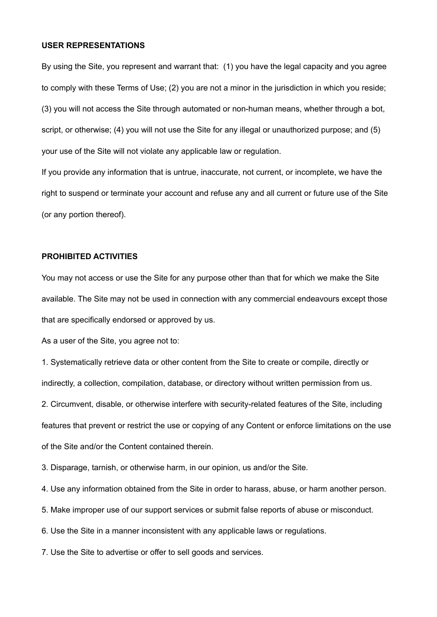#### **USER REPRESENTATIONS**

By using the Site, you represent and warrant that: (1) you have the legal capacity and you agree to comply with these Terms of Use; (2) you are not a minor in the jurisdiction in which you reside; (3) you will not access the Site through automated or non-human means, whether through a bot, script, or otherwise; (4) you will not use the Site for any illegal or unauthorized purpose; and (5) your use of the Site will not violate any applicable law or regulation.

If you provide any information that is untrue, inaccurate, not current, or incomplete, we have the right to suspend or terminate your account and refuse any and all current or future use of the Site (or any portion thereof).

# **PROHIBITED ACTIVITIES**

You may not access or use the Site for any purpose other than that for which we make the Site available. The Site may not be used in connection with any commercial endeavours except those that are specifically endorsed or approved by us.

As a user of the Site, you agree not to:

1. Systematically retrieve data or other content from the Site to create or compile, directly or indirectly, a collection, compilation, database, or directory without written permission from us. 2. Circumvent, disable, or otherwise interfere with security-related features of the Site, including features that prevent or restrict the use or copying of any Content or enforce limitations on the use of the Site and/or the Content contained therein.

3. Disparage, tarnish, or otherwise harm, in our opinion, us and/or the Site.

4. Use any information obtained from the Site in order to harass, abuse, or harm another person.

5. Make improper use of our support services or submit false reports of abuse or misconduct.

6. Use the Site in a manner inconsistent with any applicable laws or regulations.

7. Use the Site to advertise or offer to sell goods and services.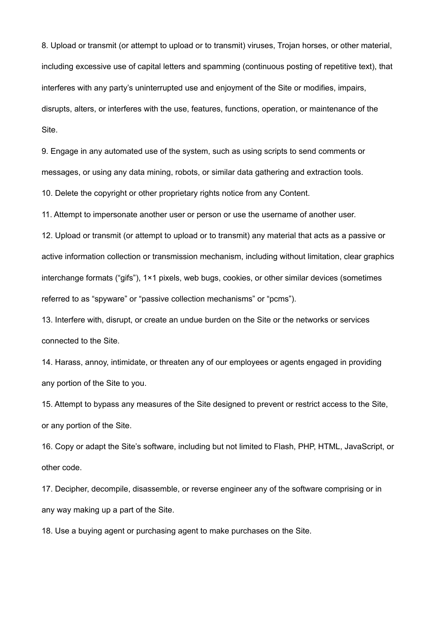8. Upload or transmit (or attempt to upload or to transmit) viruses, Trojan horses, or other material, including excessive use of capital letters and spamming (continuous posting of repetitive text), that interferes with any party's uninterrupted use and enjoyment of the Site or modifies, impairs, disrupts, alters, or interferes with the use, features, functions, operation, or maintenance of the Site.

9. Engage in any automated use of the system, such as using scripts to send comments or messages, or using any data mining, robots, or similar data gathering and extraction tools.

10. Delete the copyright or other proprietary rights notice from any Content.

11. Attempt to impersonate another user or person or use the username of another user.

12. Upload or transmit (or attempt to upload or to transmit) any material that acts as a passive or active information collection or transmission mechanism, including without limitation, clear graphics interchange formats ("gifs"), 1×1 pixels, web bugs, cookies, or other similar devices (sometimes referred to as "spyware" or "passive collection mechanisms" or "pcms").

13. Interfere with, disrupt, or create an undue burden on the Site or the networks or services connected to the Site.

14. Harass, annoy, intimidate, or threaten any of our employees or agents engaged in providing any portion of the Site to you.

15. Attempt to bypass any measures of the Site designed to prevent or restrict access to the Site, or any portion of the Site.

16. Copy or adapt the Site's software, including but not limited to Flash, PHP, HTML, JavaScript, or other code.

17. Decipher, decompile, disassemble, or reverse engineer any of the software comprising or in any way making up a part of the Site.

18. Use a buying agent or purchasing agent to make purchases on the Site.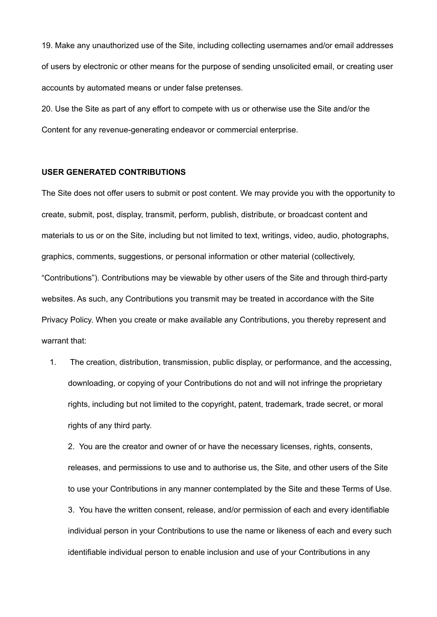19. Make any unauthorized use of the Site, including collecting usernames and/or email addresses of users by electronic or other means for the purpose of sending unsolicited email, or creating user accounts by automated means or under false pretenses.

20. Use the Site as part of any effort to compete with us or otherwise use the Site and/or the Content for any revenue-generating endeavor or commercial enterprise.

#### **USER GENERATED CONTRIBUTIONS**

The Site does not offer users to submit or post content. We may provide you with the opportunity to create, submit, post, display, transmit, perform, publish, distribute, or broadcast content and materials to us or on the Site, including but not limited to text, writings, video, audio, photographs, graphics, comments, suggestions, or personal information or other material (collectively, "Contributions"). Contributions may be viewable by other users of the Site and through third-party websites. As such, any Contributions you transmit may be treated in accordance with the Site Privacy Policy. When you create or make available any Contributions, you thereby represent and warrant that:

1. The creation, distribution, transmission, public display, or performance, and the accessing, downloading, or copying of your Contributions do not and will not infringe the proprietary rights, including but not limited to the copyright, patent, trademark, trade secret, or moral rights of any third party.

2. You are the creator and owner of or have the necessary licenses, rights, consents, releases, and permissions to use and to authorise us, the Site, and other users of the Site to use your Contributions in any manner contemplated by the Site and these Terms of Use. 3. You have the written consent, release, and/or permission of each and every identifiable individual person in your Contributions to use the name or likeness of each and every such identifiable individual person to enable inclusion and use of your Contributions in any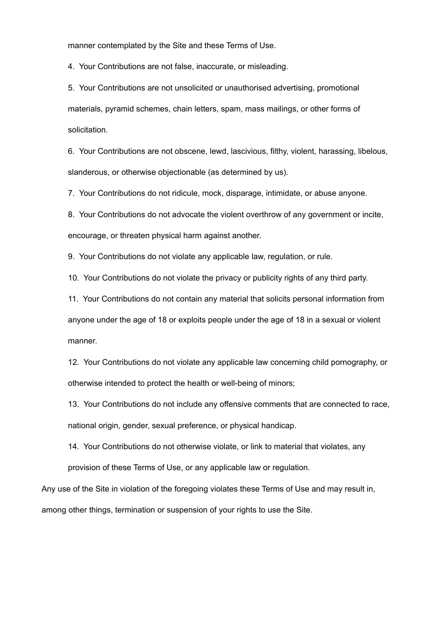manner contemplated by the Site and these Terms of Use.

4. Your Contributions are not false, inaccurate, or misleading.

5. Your Contributions are not unsolicited or unauthorised advertising, promotional materials, pyramid schemes, chain letters, spam, mass mailings, or other forms of solicitation.

6. Your Contributions are not obscene, lewd, lascivious, filthy, violent, harassing, libelous, slanderous, or otherwise objectionable (as determined by us).

7. Your Contributions do not ridicule, mock, disparage, intimidate, or abuse anyone.

8. Your Contributions do not advocate the violent overthrow of any government or incite, encourage, or threaten physical harm against another.

9. Your Contributions do not violate any applicable law, regulation, or rule.

10. Your Contributions do not violate the privacy or publicity rights of any third party.

11. Your Contributions do not contain any material that solicits personal information from anyone under the age of 18 or exploits people under the age of 18 in a sexual or violent manner.

12. Your Contributions do not violate any applicable law concerning child pornography, or otherwise intended to protect the health or well-being of minors;

13. Your Contributions do not include any offensive comments that are connected to race, national origin, gender, sexual preference, or physical handicap.

14. Your Contributions do not otherwise violate, or link to material that violates, any provision of these Terms of Use, or any applicable law or regulation.

Any use of the Site in violation of the foregoing violates these Terms of Use and may result in, among other things, termination or suspension of your rights to use the Site.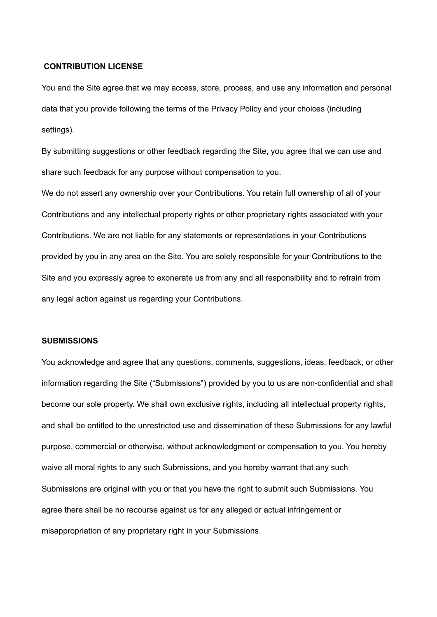#### **CONTRIBUTION LICENSE**

You and the Site agree that we may access, store, process, and use any information and personal data that you provide following the terms of the Privacy Policy and your choices (including settings).

By submitting suggestions or other feedback regarding the Site, you agree that we can use and share such feedback for any purpose without compensation to you.

We do not assert any ownership over your Contributions. You retain full ownership of all of your Contributions and any intellectual property rights or other proprietary rights associated with your Contributions. We are not liable for any statements or representations in your Contributions provided by you in any area on the Site. You are solely responsible for your Contributions to the Site and you expressly agree to exonerate us from any and all responsibility and to refrain from any legal action against us regarding your Contributions.

#### **SUBMISSIONS**

You acknowledge and agree that any questions, comments, suggestions, ideas, feedback, or other information regarding the Site ("Submissions") provided by you to us are non-confidential and shall become our sole property. We shall own exclusive rights, including all intellectual property rights, and shall be entitled to the unrestricted use and dissemination of these Submissions for any lawful purpose, commercial or otherwise, without acknowledgment or compensation to you. You hereby waive all moral rights to any such Submissions, and you hereby warrant that any such Submissions are original with you or that you have the right to submit such Submissions. You agree there shall be no recourse against us for any alleged or actual infringement or misappropriation of any proprietary right in your Submissions.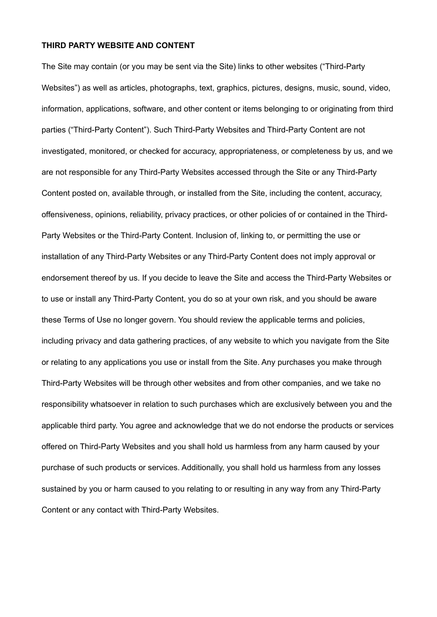#### **THIRD PARTY WEBSITE AND CONTENT**

The Site may contain (or you may be sent via the Site) links to other websites ("Third-Party Websites") as well as articles, photographs, text, graphics, pictures, designs, music, sound, video, information, applications, software, and other content or items belonging to or originating from third parties ("Third-Party Content"). Such Third-Party Websites and Third-Party Content are not investigated, monitored, or checked for accuracy, appropriateness, or completeness by us, and we are not responsible for any Third-Party Websites accessed through the Site or any Third-Party Content posted on, available through, or installed from the Site, including the content, accuracy, offensiveness, opinions, reliability, privacy practices, or other policies of or contained in the Third-Party Websites or the Third-Party Content. Inclusion of, linking to, or permitting the use or installation of any Third-Party Websites or any Third-Party Content does not imply approval or endorsement thereof by us. If you decide to leave the Site and access the Third-Party Websites or to use or install any Third-Party Content, you do so at your own risk, and you should be aware these Terms of Use no longer govern. You should review the applicable terms and policies, including privacy and data gathering practices, of any website to which you navigate from the Site or relating to any applications you use or install from the Site. Any purchases you make through Third-Party Websites will be through other websites and from other companies, and we take no responsibility whatsoever in relation to such purchases which are exclusively between you and the applicable third party. You agree and acknowledge that we do not endorse the products or services offered on Third-Party Websites and you shall hold us harmless from any harm caused by your purchase of such products or services. Additionally, you shall hold us harmless from any losses sustained by you or harm caused to you relating to or resulting in any way from any Third-Party Content or any contact with Third-Party Websites.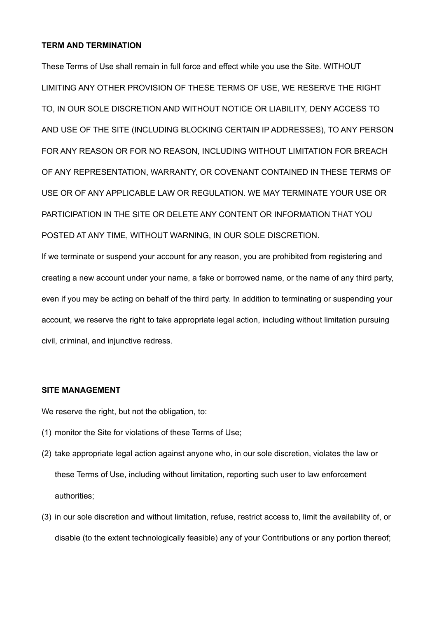## **TERM AND TERMINATION**

These Terms of Use shall remain in full force and effect while you use the Site. WITHOUT LIMITING ANY OTHER PROVISION OF THESE TERMS OF USE, WE RESERVE THE RIGHT TO, IN OUR SOLE DISCRETION AND WITHOUT NOTICE OR LIABILITY, DENY ACCESS TO AND USE OF THE SITE (INCLUDING BLOCKING CERTAIN IP ADDRESSES), TO ANY PERSON FOR ANY REASON OR FOR NO REASON, INCLUDING WITHOUT LIMITATION FOR BREACH OF ANY REPRESENTATION, WARRANTY, OR COVENANT CONTAINED IN THESE TERMS OF USE OR OF ANY APPLICABLE LAW OR REGULATION. WE MAY TERMINATE YOUR USE OR PARTICIPATION IN THE SITE OR DELETE ANY CONTENT OR INFORMATION THAT YOU POSTED AT ANY TIME, WITHOUT WARNING, IN OUR SOLE DISCRETION.

If we terminate or suspend your account for any reason, you are prohibited from registering and creating a new account under your name, a fake or borrowed name, or the name of any third party, even if you may be acting on behalf of the third party. In addition to terminating or suspending your account, we reserve the right to take appropriate legal action, including without limitation pursuing civil, criminal, and injunctive redress.

#### **SITE MANAGEMENT**

We reserve the right, but not the obligation, to:

- (1) monitor the Site for violations of these Terms of Use;
- (2) take appropriate legal action against anyone who, in our sole discretion, violates the law or these Terms of Use, including without limitation, reporting such user to law enforcement authorities;
- (3) in our sole discretion and without limitation, refuse, restrict access to, limit the availability of, or disable (to the extent technologically feasible) any of your Contributions or any portion thereof;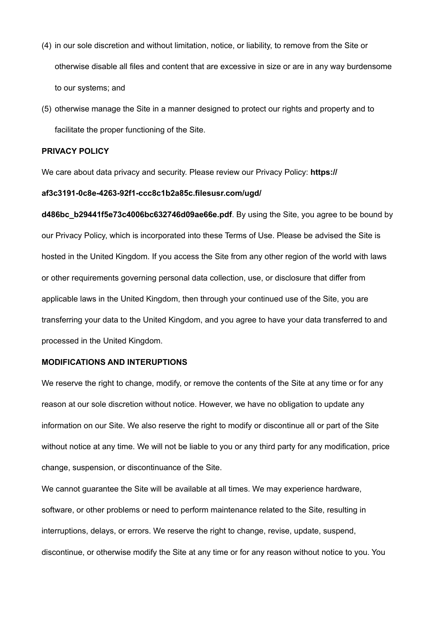- (4) in our sole discretion and without limitation, notice, or liability, to remove from the Site or otherwise disable all files and content that are excessive in size or are in any way burdensome to our systems; and
- (5) otherwise manage the Site in a manner designed to protect our rights and property and to facilitate the proper functioning of the Site.

## **PRIVACY POLICY**

We care about data privacy and security. Please review our Privacy Policy: **[https://](https://www.nibblevideo.com/privacy-policy/)**

#### **[af3c3191-0c8e-4263-92f1-ccc8c1b2a85c.filesusr.com/ugd/](https://www.nibblevideo.com/privacy-policy/)**

**[d486bc\\_b29441f5e73c4006bc632746d09ae66e.pdf](https://www.nibblevideo.com/privacy-policy/)**. By using the Site, you agree to be bound by our Privacy Policy, which is incorporated into these Terms of Use. Please be advised the Site is hosted in the United Kingdom. If you access the Site from any other region of the world with laws or other requirements governing personal data collection, use, or disclosure that differ from applicable laws in the United Kingdom, then through your continued use of the Site, you are transferring your data to the United Kingdom, and you agree to have your data transferred to and processed in the United Kingdom.

#### **MODIFICATIONS AND INTERUPTIONS**

We reserve the right to change, modify, or remove the contents of the Site at any time or for any reason at our sole discretion without notice. However, we have no obligation to update any information on our Site. We also reserve the right to modify or discontinue all or part of the Site without notice at any time. We will not be liable to you or any third party for any modification, price change, suspension, or discontinuance of the Site.

We cannot guarantee the Site will be available at all times. We may experience hardware, software, or other problems or need to perform maintenance related to the Site, resulting in interruptions, delays, or errors. We reserve the right to change, revise, update, suspend, discontinue, or otherwise modify the Site at any time or for any reason without notice to you. You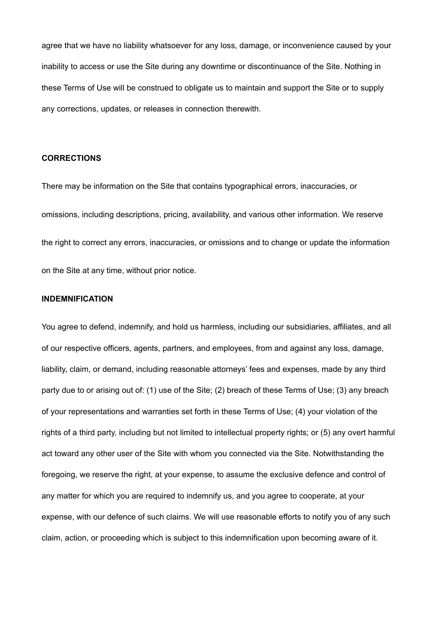agree that we have no liability whatsoever for any loss, damage, or inconvenience caused by your inability to access or use the Site during any downtime or discontinuance of the Site. Nothing in these Terms of Use will be construed to obligate us to maintain and support the Site or to supply any corrections, updates, or releases in connection therewith.

#### **CORRECTIONS**

There may be information on the Site that contains typographical errors, inaccuracies, or omissions, including descriptions, pricing, availability, and various other information. We reserve the right to correct any errors, inaccuracies, or omissions and to change or update the information on the Site at any time, without prior notice.

#### **INDEMNIFICATION**

You agree to defend, indemnify, and hold us harmless, including our subsidiaries, affiliates, and all of our respective officers, agents, partners, and employees, from and against any loss, damage, liability, claim, or demand, including reasonable attorneys' fees and expenses, made by any third party due to or arising out of: (1) use of the Site; (2) breach of these Terms of Use; (3) any breach of your representations and warranties set forth in these Terms of Use; (4) your violation of the rights of a third party, including but not limited to intellectual property rights; or (5) any overt harmful act toward any other user of the Site with whom you connected via the Site. Notwithstanding the foregoing, we reserve the right, at your expense, to assume the exclusive defence and control of any matter for which you are required to indemnify us, and you agree to cooperate, at your expense, with our defence of such claims. We will use reasonable efforts to notify you of any such claim, action, or proceeding which is subject to this indemnification upon becoming aware of it.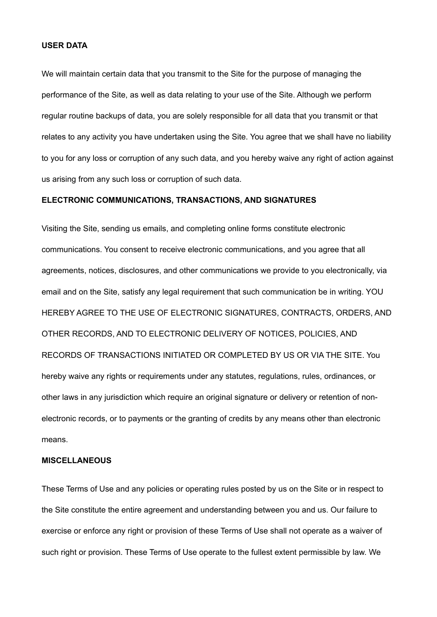### **USER DATA**

We will maintain certain data that you transmit to the Site for the purpose of managing the performance of the Site, as well as data relating to your use of the Site. Although we perform regular routine backups of data, you are solely responsible for all data that you transmit or that relates to any activity you have undertaken using the Site. You agree that we shall have no liability to you for any loss or corruption of any such data, and you hereby waive any right of action against us arising from any such loss or corruption of such data.

## **ELECTRONIC COMMUNICATIONS, TRANSACTIONS, AND SIGNATURES**

Visiting the Site, sending us emails, and completing online forms constitute electronic communications. You consent to receive electronic communications, and you agree that all agreements, notices, disclosures, and other communications we provide to you electronically, via email and on the Site, satisfy any legal requirement that such communication be in writing. YOU HEREBY AGREE TO THE USE OF ELECTRONIC SIGNATURES, CONTRACTS, ORDERS, AND OTHER RECORDS, AND TO ELECTRONIC DELIVERY OF NOTICES, POLICIES, AND RECORDS OF TRANSACTIONS INITIATED OR COMPLETED BY US OR VIA THE SITE. You hereby waive any rights or requirements under any statutes, regulations, rules, ordinances, or other laws in any jurisdiction which require an original signature or delivery or retention of nonelectronic records, or to payments or the granting of credits by any means other than electronic means.

#### **MISCELLANEOUS**

These Terms of Use and any policies or operating rules posted by us on the Site or in respect to the Site constitute the entire agreement and understanding between you and us. Our failure to exercise or enforce any right or provision of these Terms of Use shall not operate as a waiver of such right or provision. These Terms of Use operate to the fullest extent permissible by law. We